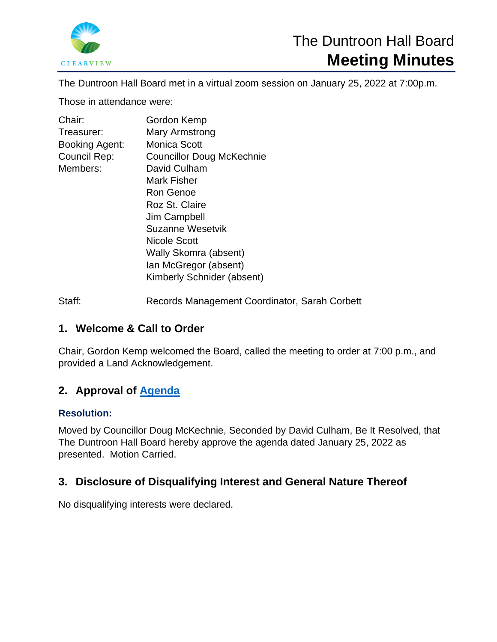

The Duntroon Hall Board met in a virtual zoom session on January 25, 2022 at 7:00p.m.

Those in attendance were:

| Chair:         | Gordon Kemp                      |
|----------------|----------------------------------|
| Treasurer:     | Mary Armstrong                   |
| Booking Agent: | <b>Monica Scott</b>              |
| Council Rep:   | <b>Councillor Doug McKechnie</b> |
| Members:       | David Culham                     |
|                | <b>Mark Fisher</b>               |
|                | Ron Genoe                        |
|                | Roz St. Claire                   |
|                | Jim Campbell                     |
|                | Suzanne Wesetvik                 |
|                | Nicole Scott                     |
|                | Wally Skomra (absent)            |
|                | Ian McGregor (absent)            |
|                | Kimberly Schnider (absent)       |
|                |                                  |

Staff: Records Management Coordinator, Sarah Corbett

# **1. Welcome & Call to Order**

Chair, Gordon Kemp welcomed the Board, called the meeting to order at 7:00 p.m., and provided a Land Acknowledgement.

# **2. Approval of [Agenda](https://www.clearview.ca/file/231036/download?token=ZWzjYZT7)**

# **Resolution:**

Moved by Councillor Doug McKechnie, Seconded by David Culham, Be It Resolved, that The Duntroon Hall Board hereby approve the agenda dated January 25, 2022 as presented. Motion Carried.

# **3. Disclosure of Disqualifying Interest and General Nature Thereof**

No disqualifying interests were declared.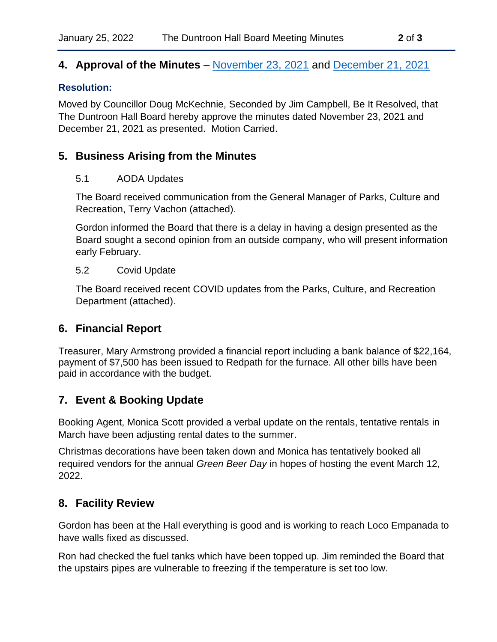# **4. Approval of the Minutes** – [November 23, 2021](https://www.clearview.ca/file/231075/download?token=XuQuiucg) and [December 21, 2021](https://www.clearview.ca/file/231074/download?token=4NyvOkdy)

#### **Resolution:**

Moved by Councillor Doug McKechnie, Seconded by Jim Campbell, Be It Resolved, that The Duntroon Hall Board hereby approve the minutes dated November 23, 2021 and December 21, 2021 as presented. Motion Carried.

# **5. Business Arising from the Minutes**

#### 5.1 AODA Updates

The Board received communication from the General Manager of Parks, Culture and Recreation, Terry Vachon (attached).

Gordon informed the Board that there is a delay in having a design presented as the Board sought a second opinion from an outside company, who will present information early February.

#### 5.2 Covid Update

The Board received recent COVID updates from the Parks, Culture, and Recreation Department (attached).

# **6. Financial Report**

Treasurer, Mary Armstrong provided a financial report including a bank balance of \$22,164, payment of \$7,500 has been issued to Redpath for the furnace. All other bills have been paid in accordance with the budget.

# **7. Event & Booking Update**

Booking Agent, Monica Scott provided a verbal update on the rentals, tentative rentals in March have been adjusting rental dates to the summer.

Christmas decorations have been taken down and Monica has tentatively booked all required vendors for the annual *Green Beer Day* in hopes of hosting the event March 12, 2022.

# **8. Facility Review**

Gordon has been at the Hall everything is good and is working to reach Loco Empanada to have walls fixed as discussed.

Ron had checked the fuel tanks which have been topped up. Jim reminded the Board that the upstairs pipes are vulnerable to freezing if the temperature is set too low.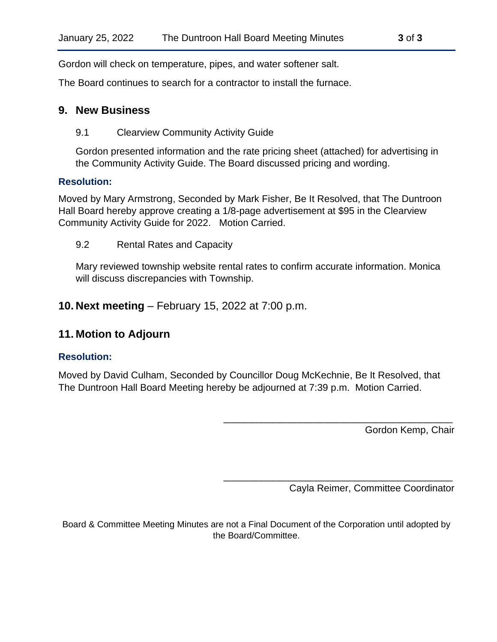Gordon will check on temperature, pipes, and water softener salt.

The Board continues to search for a contractor to install the furnace.

#### **9. New Business**

#### 9.1 Clearview Community Activity Guide

Gordon presented information and the rate pricing sheet (attached) for advertising in the Community Activity Guide. The Board discussed pricing and wording.

#### **Resolution:**

Moved by Mary Armstrong, Seconded by Mark Fisher, Be It Resolved, that The Duntroon Hall Board hereby approve creating a 1/8-page advertisement at \$95 in the Clearview Community Activity Guide for 2022. Motion Carried.

#### 9.2 Rental Rates and Capacity

Mary reviewed township website rental rates to confirm accurate information. Monica will discuss discrepancies with Township.

**10. Next meeting** – February 15, 2022 at 7:00 p.m.

## **11. Motion to Adjourn**

#### **Resolution:**

Moved by David Culham, Seconded by Councillor Doug McKechnie, Be It Resolved, that The Duntroon Hall Board Meeting hereby be adjourned at 7:39 p.m. Motion Carried.

Gordon Kemp, Chair

Cayla Reimer, Committee Coordinator

\_\_\_\_\_\_\_\_\_\_\_\_\_\_\_\_\_\_\_\_\_\_\_\_\_\_\_\_\_\_\_\_\_\_\_\_\_\_\_\_\_\_

\_\_\_\_\_\_\_\_\_\_\_\_\_\_\_\_\_\_\_\_\_\_\_\_\_\_\_\_\_\_\_\_\_\_\_\_\_\_\_\_\_\_

Board & Committee Meeting Minutes are not a Final Document of the Corporation until adopted by the Board/Committee.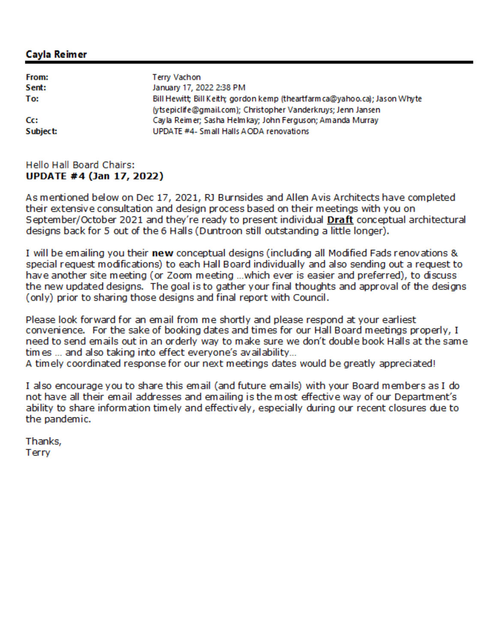## Cavla Reimer

| From:    | Terry Vachon                                                                                                                                |
|----------|---------------------------------------------------------------------------------------------------------------------------------------------|
| Sent:    | January 17, 2022 2:38 PM                                                                                                                    |
| To:      | Bill Hewitt; Bill Keith; gordon kemp (theartfarm ca@yahoo.ca); Jason Whyte<br>(ytsepiclife@gmail.com); Christopher Vanderkruys; Jenn Jansen |
| Cc:      | Cayla Reimer; Sasha Helmkay; John Ferguson; Amanda Murray                                                                                   |
| Subject: | UPDATE #4- Small Halls AODA renovations                                                                                                     |

#### Hello Hall Board Chairs: **UPDATE #4 (Jan 17, 2022)**

As mentioned below on Dec 17, 2021, RJ Burnsides and Allen Avis Architects have completed their extensive consultation and design process based on their meetings with you on September/October 2021 and they're ready to present individual Draft conceptual architectural designs back for 5 out of the 6 Halls (Duntroon still outstanding a little longer).

I will be emailing you their **new** conceptual designs (including all Modified Fads renovations & special request modifications) to each Hall Board individually and also sending out a request to have another site meeting (or Zoom meeting ...which ever is easier and preferred), to discuss the new updated designs. The goal is to gather your final thoughts and approval of the designs (only) prior to sharing those designs and final report with Council.

Please look forward for an email from me shortly and please respond at your earliest convenience. For the sake of booking dates and times for our Hall Board meetings properly, I need to send emails out in an orderly way to make sure we don't double book Halls at the same times ... and also taking into effect everyone's availability...

A timely coordinated response for our next meetings dates would be greatly appreciated!

I also encourage you to share this email (and future emails) with your Board members as I do not have all their email addresses and emailing is the most effective way of our Department's ability to share information timely and effectively, especially during our recent closures due to the pandemic.

Thanks, Terry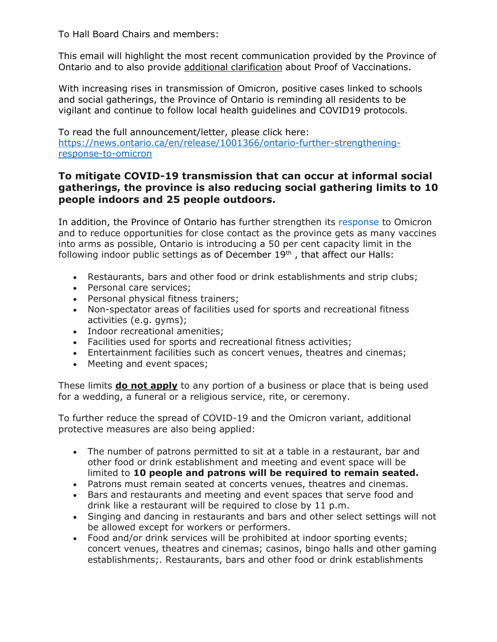To Hall Board Chairs and members:

This email will highlight the most recent communication provided by the Province of Ontario and to also provide additional clarification about Proof of Vaccinations.

With increasing rises in transmission of Omicron, positive cases linked to schools and social gatherings, the Province of Ontario is reminding all residents to be vigilant and continue to follow local health guidelines and COVID19 protocols.

To read the full announcement/letter, please click here: [https://news.ontario.ca/en/release/1001366/ontario-further-strengthening](https://news.ontario.ca/en/release/1001366/ontario-further-strengthening-response-to-omicron)[response-to-omicron](https://news.ontario.ca/en/release/1001366/ontario-further-strengthening-response-to-omicron)

# **To mitigate COVID-19 transmission that can occur at informal social gatherings, the province is also reducing social gathering limits to 10 people indoors and 25 people outdoors.**

In addition, the Province of Ontario has further strengthen its [response](https://news.ontario.ca/en/backgrounder/1001329/responding-to-omicron-and-protecting-our-progress) to Omicron and to reduce opportunities for close contact as the province gets as many vaccines into arms as possible, Ontario is introducing a 50 per cent capacity limit in the following indoor public settings as of December  $19<sup>th</sup>$ , that affect our Halls:

- Restaurants, bars and other food or drink establishments and strip clubs;
- Personal care services;
- Personal physical fitness trainers;
- Non-spectator areas of facilities used for sports and recreational fitness activities (e.g. gyms);
- Indoor recreational amenities;
- Facilities used for sports and recreational fitness activities;
- Entertainment facilities such as concert venues, theatres and cinemas;
- Meeting and event spaces;

These limits **do not apply** to any portion of a business or place that is being used for a wedding, a funeral or a religious service, rite, or ceremony.

To further reduce the spread of COVID-19 and the Omicron variant, additional protective measures are also being applied:

- The number of patrons permitted to sit at a table in a restaurant, bar and other food or drink establishment and meeting and event space will be limited to **10 people and patrons will be required to remain seated.**
- Patrons must remain seated at concerts venues, theatres and cinemas.
- Bars and restaurants and meeting and event spaces that serve food and drink like a restaurant will be required to close by 11 p.m.
- Singing and dancing in restaurants and bars and other select settings will not be allowed except for workers or performers.
- Food and/or drink services will be prohibited at indoor sporting events; concert venues, theatres and cinemas; casinos, bingo halls and other gaming establishments;. Restaurants, bars and other food or drink establishments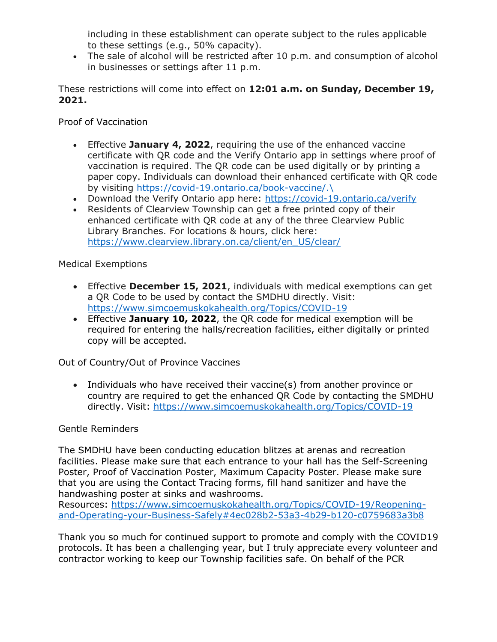including in these establishment can operate subject to the rules applicable to these settings (e.g., 50% capacity).

• The sale of alcohol will be restricted after 10 p.m. and consumption of alcohol in businesses or settings after 11 p.m.

These restrictions will come into effect on **12:01 a.m. on Sunday, December 19, 2021.**

Proof of Vaccination

- Effective **January 4, 2022**, requiring the use of the enhanced vaccine certificate with QR code and the Verify Ontario app in settings where proof of vaccination is required. The QR code can be used digitally or by printing a paper copy. Individuals can download their enhanced certificate with QR code by visiting [https://covid-19.ontario.ca/book-vaccine/.\](https://covid-19.ontario.ca/book-vaccine/)
- Download the Verify Ontario app here:<https://covid-19.ontario.ca/verify>
- Residents of Clearview Township can get a free printed copy of their enhanced certificate with QR code at any of the three Clearview Public Library Branches. For locations & hours, click here: [https://www.clearview.library.on.ca/client/en\\_US/clear/](https://www.clearview.library.on.ca/client/en_US/clear/)

Medical Exemptions

- Effective **December 15, 2021**, individuals with medical exemptions can get a QR Code to be used by contact the SMDHU directly. Visit: <https://www.simcoemuskokahealth.org/Topics/COVID-19>
- Effective **January 10, 2022**, the QR code for medical exemption will be required for entering the halls/recreation facilities, either digitally or printed copy will be accepted.

Out of Country/Out of Province Vaccines

• Individuals who have received their vaccine(s) from another province or country are required to get the enhanced QR Code by contacting the SMDHU directly. Visit:<https://www.simcoemuskokahealth.org/Topics/COVID-19>

## Gentle Reminders

The SMDHU have been conducting education blitzes at arenas and recreation facilities. Please make sure that each entrance to your hall has the Self-Screening Poster, Proof of Vaccination Poster, Maximum Capacity Poster. Please make sure that you are using the Contact Tracing forms, fill hand sanitizer and have the handwashing poster at sinks and washrooms.

Resources: [https://www.simcoemuskokahealth.org/Topics/COVID-19/Reopening](https://www.simcoemuskokahealth.org/Topics/COVID-19/Reopening-and-Operating-your-Business-Safely#4ec028b2-53a3-4b29-b120-c0759683a3b8)[and-Operating-your-Business-Safely#4ec028b2-53a3-4b29-b120-c0759683a3b8](https://www.simcoemuskokahealth.org/Topics/COVID-19/Reopening-and-Operating-your-Business-Safely#4ec028b2-53a3-4b29-b120-c0759683a3b8)

Thank you so much for continued support to promote and comply with the COVID19 protocols. It has been a challenging year, but I truly appreciate every volunteer and contractor working to keep our Township facilities safe. On behalf of the PCR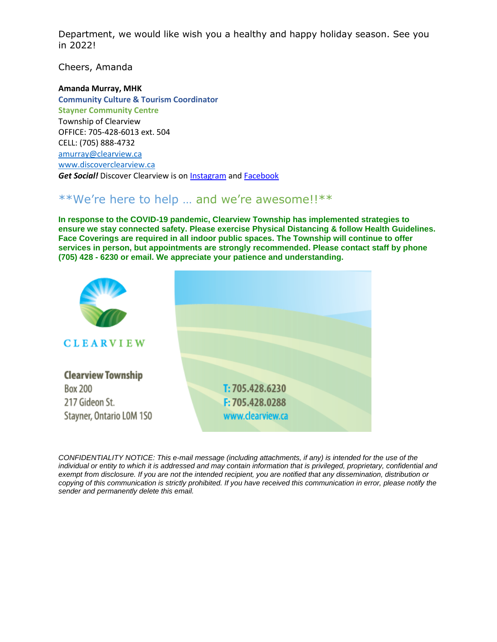Department, we would like wish you a healthy and happy holiday season. See you in 2022!

Cheers, Amanda

#### **Amanda Murray, MHK**

**Community Culture & Tourism Coordinator Stayner Community Centre** Township of Clearview OFFICE: 705-428-6013 ext. 504 CELL: (705) 888-4732 [amurray@clearview.ca](mailto:amurray@clearview.ca) [www.discoverclearview.ca](http://www.discoverclearview.ca/) *Get Social!* Discover Clearview is on [Instagram](https://www.instagram.com/discoverclearview/) an[d Facebook](https://www.facebook.com/discoverclearview)

# \*\*We're here to help … and we're awesome!!\*\*

**In response to the COVID-19 pandemic, Clearview Township has implemented strategies to ensure we stay connected safety. Please exercise Physical Distancing & follow Health Guidelines. Face Coverings are required in all indoor public spaces. The Township will continue to offer services in person, but appointments are strongly recommended. Please contact staff by phone (705) 428 - 6230 or email. We appreciate your patience and understanding.**



*CONFIDENTIALITY NOTICE: This e-mail message (including attachments, if any) is intended for the use of the individual or entity to which it is addressed and may contain information that is privileged, proprietary, confidential and exempt from disclosure. If you are not the intended recipient, you are notified that any dissemination, distribution or copying of this communication is strictly prohibited. If you have received this communication in error, please notify the sender and permanently delete this email.*